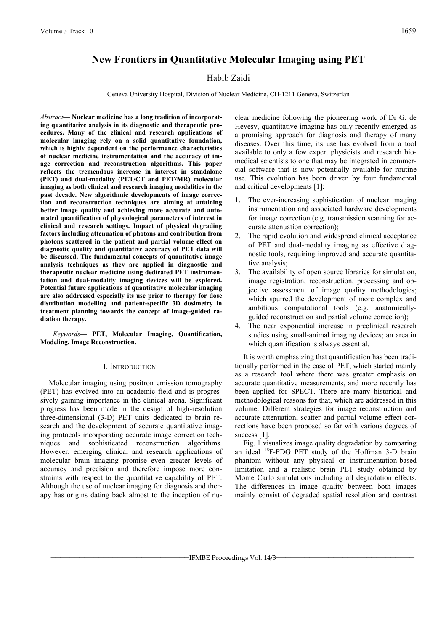# **New Frontiers in Quantitative Molecular Imaging using PET**

# Habib Zaidi

Geneva University Hospital, Division of Nuclear Medicine, CH-1211 Geneva, Switzerlan

*Abstract***— Nuclear medicine has a long tradition of incorporating quantitative analysis in its diagnostic and therapeutic procedures. Many of the clinical and research applications of molecular imaging rely on a solid quantitative foundation, which is highly dependent on the performance characteristics of nuclear medicine instrumentation and the accuracy of image correction and reconstruction algorithms. This paper reflects the tremendous increase in interest in standalone (PET) and dual-modality (PET/CT and PET/MR) molecular imaging as both clinical and research imaging modalities in the past decade. New algorithmic developments of image correction and reconstruction techniques are aiming at attaining better image quality and achieving more accurate and automated quantification of physiological parameters of interest in clinical and research settings. Impact of physical degrading factors including attenuation of photons and contribution from photons scattered in the patient and partial volume effect on diagnostic quality and quantitative accuracy of PET data will be discussed. The fundamental concepts of quantitative image analysis techniques as they are applied in diagnostic and therapeutic nuclear medicine using dedicated PET instrumentation and dual-modality imaging devices will be explored. Potential future applications of quantitative molecular imaging are also addressed especially its use prior to therapy for dose distribution modelling and patient-specific 3D dosimetry in treatment planning towards the concept of image-guided radiation therapy.** 

*Keywords***— PET, Molecular Imaging, Quantification, Modeling, Image Reconstruction.** 

## I. INTRODUCTION

Molecular imaging using positron emission tomography (PET) has evolved into an academic field and is progressively gaining importance in the clinical arena. Significant progress has been made in the design of high-resolution three-dimensional (3-D) PET units dedicated to brain research and the development of accurate quantitative imaging protocols incorporating accurate image correction techniques and sophisticated reconstruction algorithms. However, emerging clinical and research applications of molecular brain imaging promise even greater levels of accuracy and precision and therefore impose more constraints with respect to the quantitative capability of PET. Although the use of nuclear imaging for diagnosis and therapy has origins dating back almost to the inception of nuclear medicine following the pioneering work of Dr G. de Hevesy, quantitative imaging has only recently emerged as a promising approach for diagnosis and therapy of many diseases. Over this time, its use has evolved from a tool available to only a few expert physicists and research biomedical scientists to one that may be integrated in commercial software that is now potentially available for routine use. This evolution has been driven by four fundamental and critical developments [1]:

- 1. The ever-increasing sophistication of nuclear imaging instrumentation and associated hardware developments for image correction (e.g. transmission scanning for accurate attenuation correction);
- 2. The rapid evolution and widespread clinical acceptance of PET and dual-modality imaging as effective diagnostic tools, requiring improved and accurate quantitative analysis;
- 3. The availability of open source libraries for simulation, image registration, reconstruction, processing and objective assessment of image quality methodologies; which spurred the development of more complex and ambitious computational tools (e.g. anatomicallyguided reconstruction and partial volume correction);
- The near exponential increase in preclinical research studies using small-animal imaging devices; an area in which quantification is always essential.

It is worth emphasizing that quantification has been traditionally performed in the case of PET, which started mainly as a research tool where there was greater emphasis on accurate quantitative measurements, and more recently has been applied for SPECT. There are many historical and methodological reasons for that, which are addressed in this volume. Different strategies for image reconstruction and accurate attenuation, scatter and partial volume effect corrections have been proposed so far with various degrees of success [1].

Fig. 1 visualizes image quality degradation by comparing an ideal <sup>18</sup>F-FDG PET study of the Hoffman 3-D brain phantom without any physical or instrumentation-based limitation and a realistic brain PET study obtained by Monte Carlo simulations including all degradation effects. The differences in image quality between both images mainly consist of degraded spatial resolution and contrast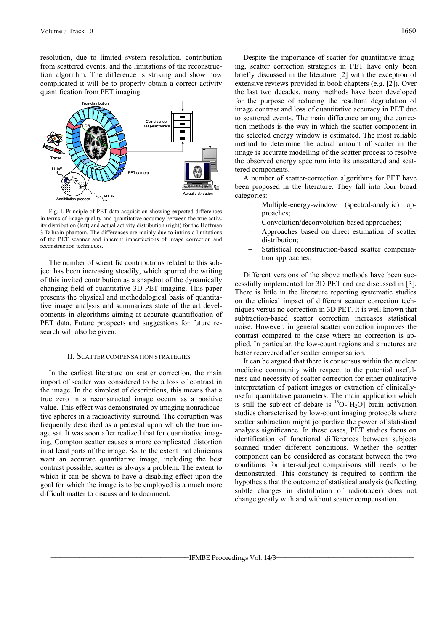resolution, due to limited system resolution, contribution from scattered events, and the limitations of the reconstruction algorithm. The difference is striking and show how complicated it will be to properly obtain a correct activity quantification from PET imaging.



Fig. 1. Principle of PET data acquisition showing expected differences in terms of image quality and quantitative accuracy between the true activity distribution (left) and actual activity distribution (right) for the Hoffman 3-D brain phantom. The differences are mainly due to intrinsic limitations of the PET scanner and inherent imperfections of image correction and reconstruction techniques.

The number of scientific contributions related to this subject has been increasing steadily, which spurred the writing of this invited contribution as a snapshot of the dynamically changing field of quantitative 3D PET imaging. This paper presents the physical and methodological basis of quantitative image analysis and summarizes state of the art developments in algorithms aiming at accurate quantification of PET data. Future prospects and suggestions for future research will also be given.

#### II. SCATTER COMPENSATION STRATEGIES

In the earliest literature on scatter correction, the main import of scatter was considered to be a loss of contrast in the image. In the simplest of descriptions, this means that a true zero in a reconstructed image occurs as a positive value. This effect was demonstrated by imaging nonradioactive spheres in a radioactivity surround. The corruption was frequently described as a pedestal upon which the true image sat. It was soon after realized that for quantitative imaging, Compton scatter causes a more complicated distortion in at least parts of the image. So, to the extent that clinicians want an accurate quantitative image, including the best contrast possible, scatter is always a problem. The extent to which it can be shown to have a disabling effect upon the goal for which the image is to be employed is a much more difficult matter to discuss and to document.

Despite the importance of scatter for quantitative imaging, scatter correction strategies in PET have only been briefly discussed in the literature [2] with the exception of extensive reviews provided in book chapters (e.g. [2]). Over the last two decades, many methods have been developed for the purpose of reducing the resultant degradation of image contrast and loss of quantitative accuracy in PET due to scattered events. The main difference among the correction methods is the way in which the scatter component in the selected energy window is estimated. The most reliable method to determine the actual amount of scatter in the image is accurate modelling of the scatter process to resolve the observed energy spectrum into its unscattered and scattered components.

A number of scatter-correction algorithms for PET have been proposed in the literature. They fall into four broad categories:

- − Multiple-energy-window (spectral-analytic) approaches;
- − Convolution/deconvolution-based approaches;
- − Approaches based on direct estimation of scatter distribution;
- − Statistical reconstruction-based scatter compensation approaches.

Different versions of the above methods have been successfully implemented for 3D PET and are discussed in [3]. There is little in the literature reporting systematic studies on the clinical impact of different scatter correction techniques versus no correction in 3D PET. It is well known that subtraction-based scatter correction increases statistical noise. However, in general scatter correction improves the contrast compared to the case where no correction is applied. In particular, the low-count regions and structures are better recovered after scatter compensation.

It can be argued that there is consensus within the nuclear medicine community with respect to the potential usefulness and necessity of scatter correction for either qualitative interpretation of patient images or extraction of clinicallyuseful quantitative parameters. The main application which is still the subject of debate is  ${}^{15}O-[H_2O]$  brain activation studies characterised by low-count imaging protocols where scatter subtraction might jeopardize the power of statistical analysis significance. In these cases, PET studies focus on identification of functional differences between subjects scanned under different conditions. Whether the scatter component can be considered as constant between the two conditions for inter-subject comparisons still needs to be demonstrated. This constancy is required to confirm the hypothesis that the outcome of statistical analysis (reflecting subtle changes in distribution of radiotracer) does not change greatly with and without scatter compensation.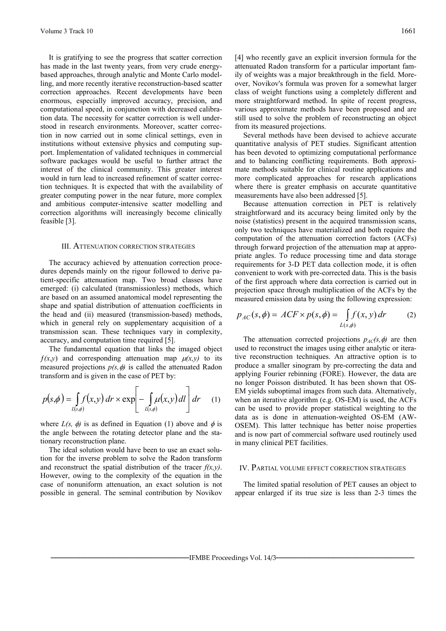It is gratifying to see the progress that scatter correction has made in the last twenty years, from very crude energybased approaches, through analytic and Monte Carlo modelling, and more recently iterative reconstruction-based scatter correction approaches. Recent developments have been enormous, especially improved accuracy, precision, and computational speed, in conjunction with decreased calibration data. The necessity for scatter correction is well understood in research environments. Moreover, scatter correction in now carried out in some clinical settings, even in institutions without extensive physics and computing support. Implementation of validated techniques in commercial software packages would be useful to further attract the interest of the clinical community. This greater interest would in turn lead to increased refinement of scatter correction techniques. It is expected that with the availability of greater computing power in the near future, more complex and ambitious computer-intensive scatter modelling and correction algorithms will increasingly become clinically feasible [3].

#### III. ATTENUATION CORRECTION STRATEGIES

The accuracy achieved by attenuation correction procedures depends mainly on the rigour followed to derive patient-specific attenuation map. Two broad classes have emerged: (i) calculated (transmissionless) methods, which are based on an assumed anatomical model representing the shape and spatial distribution of attenuation coefficients in the head and (ii) measured (transmission-based) methods, which in general rely on supplementary acquisition of a transmission scan. These techniques vary in complexity, accuracy, and computation time required [5].

The fundamental equation that links the imaged object  $f(x,y)$  and corresponding attenuation map  $\mu(x,y)$  to its measured projections  $p(s, \phi)$  is called the attenuated Radon transform and is given in the case of PET by:

$$
p(s,\phi) = \int_{L(s,\phi)} f(x,y) \, dr \times \exp\left[-\int_{L(s,\phi)} \mu(x,y) \, dl\right] dr \tag{1}
$$

where  $L(s, \phi)$  is as defined in Equation (1) above and  $\phi$  is the angle between the rotating detector plane and the stationary reconstruction plane.

The ideal solution would have been to use an exact solution for the inverse problem to solve the Radon transform and reconstruct the spatial distribution of the tracer  $f(x, y)$ . However, owing to the complexity of the equation in the case of nonuniform attenuation, an exact solution is not possible in general. The seminal contribution by Novikov

Several methods have been devised to achieve accurate quantitative analysis of PET studies. Significant attention has been devoted to optimizing computational performance and to balancing conflicting requirements. Both approximate methods suitable for clinical routine applications and more complicated approaches for research applications where there is greater emphasis on accurate quantitative measurements have also been addressed [5].

Because attenuation correction in PET is relatively straightforward and its accuracy being limited only by the noise (statistics) present in the acquired transmission scans, only two techniques have materialized and both require the computation of the attenuation correction factors (ACFs) through forward projection of the attenuation map at appropriate angles. To reduce processing time and data storage requirements for 3-D PET data collection mode, it is often convenient to work with pre-corrected data. This is the basis of the first approach where data correction is carried out in projection space through multiplication of the ACFs by the measured emission data by using the following expression:

$$
p_{AC}(s,\phi) = ACF \times p(s,\phi) = \int_{L(s,\phi)} f(x,y) \, dr \tag{2}
$$

The attenuation corrected projections  $p_{AC}(s, \phi)$  are then used to reconstruct the images using either analytic or iterative reconstruction techniques. An attractive option is to produce a smaller sinogram by pre-correcting the data and applying Fourier rebinning (FORE). However, the data are no longer Poisson distributed. It has been shown that OS-EM yields suboptimal images from such data. Alternatively, when an iterative algorithm (e.g. OS-EM) is used, the ACFs can be used to provide proper statistical weighting to the data as is done in attenuation-weighted OS-EM (AW-OSEM). This latter technique has better noise properties and is now part of commercial software used routinely used in many clinical PET facilities.

## IV. PARTIAL VOLUME EFFECT CORRECTION STRATEGIES

The limited spatial resolution of PET causes an object to appear enlarged if its true size is less than 2-3 times the